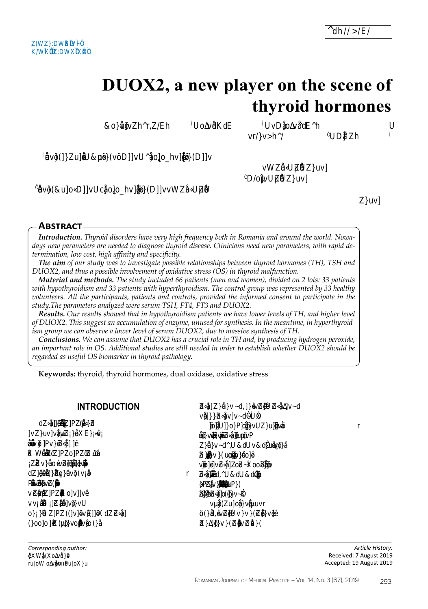# DUOX2, a new player on the scene of thyroid hormones

-TI Dodh ohrih ाठवरा ¶∏  $\Box$  $r$ h $\Box$ **TIDFI** {™™™™™™™™™™™™™™™™™™™™™™  $<sub>min</sub>$ </sub> **Douun SDUcoohDUU**  $\Box$ **ABSTRACT Introduction.** Thyroid disorders have very high frequency both in Romania and around the world. Nowadays new parameters are needed to diagnose thyroid disease. Clinicians need new parameters, with rapid determination, low cost, high affinity and specificity.

**The aim** of our study was to investigate possible relationships between thyroid hormones (TH), TSH and DUOX2, and thus a possible involvement of oxidative stress (OS) in thyroid malfunction.

Material and methods. The study included 66 patients (men and women), divided on 2 lots: 33 patients with hypothyroidism and 33 patients with hyperthyroidism. The control group was represented by 33 healthy volunteers. All the participants, patients and controls, provided the informed consent to participate in the study. The parameters analyzed were serum TSH, FT4, FT3 and DUOX2.

Results. Our results showed that in hypothyroidism patients we have lower levels of TH, and higher level of DUOX2. This suggest an accumulation of enzyme, unused for synthesis. In the meantime, in hyperthyroidism group we can observe a lower level of serum DUOX2, due to massive synthesis of TH.

Conclusions. We can assume that DUOX2 has a crucial role in TH and, by producing hydrogen peroxide, an important role in OS. Additional studies are still needed in order to establish whether DUOX2 should be regarded as useful OS biomarker in thyroid pathology.

Keywords: thyroid, thyroid hormones, dual oxidase, oxidative stress



Artide History: Received: 7 August 2019 Accepted: 19 August 2019

 $\Box$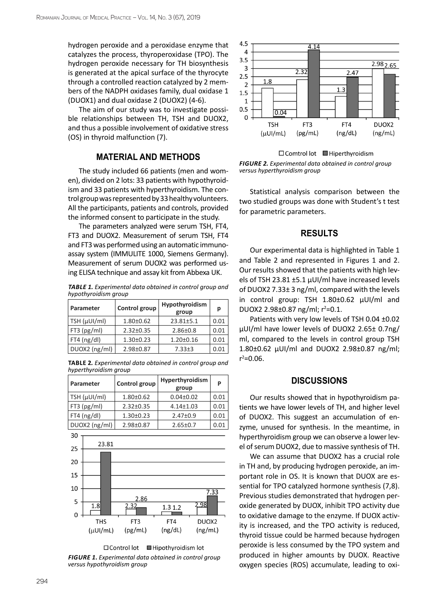hydrogen peroxide and a peroxidase enzyme that catalyzes the process, thyroperoxidase (TPO). The hydrogen peroxide necessary for TH biosynthesis is generated at the apical surface of the thyrocyte through a controlled reaction catalyzed by 2 members of the NADPH oxidases family, dual oxidase 1 (DUOX1) and dual oxidase 2 (DUOX2) (4-6).

The aim of our study was to investigate possible relationships between TH, TSH and DUOX2, and thus a possible involvement of oxidative stress (OS) in thyroid malfunction (7).

#### **MATERIAL AND METHODS**

The study included 66 patients (men and women), divided on 2 lots: 33 patients with hypothyroidism and 33 patients with hyperthyroidism. The control group was represented by 33 healthy volunteers. All the participants, patients and controls, provided the informed consent to participate in the study.

The parameters analyzed were serum TSH, FT4, FT3 and DUOX2. Measurement of serum TSH, FT4 and FT3 was performed using an automatic immunoassay system (IMMULITE 1000, Siemens Germany). Measurement of serum DUOX2 was performed using ELISA technique and assay kit from Abbexa UK.

*Table 1. Experimental data obtained in control group and hypothyroidism group*

| Parameter     | Control group   | Hypothyroidism<br>group | р    |
|---------------|-----------------|-------------------------|------|
| TSH (µUI/ml)  | $1.80 \pm 0.62$ | $23.81 + 5.1$           | 0.01 |
| $FT3$ (pg/ml) | $2.32 \pm 0.35$ | $2.86 \pm 0.8$          | 0.01 |
| $FT4$ (ng/dl) | $1.30 \pm 0.23$ | $1.20 \pm 0.16$         | 0.01 |
| DUOX2 (ng/ml) | 2.98±0.87       | $7.33 \pm 3$            | 0.01 |

**Table 2***. Experimental data obtained in control group and hyperthyroidism group*

| Parameter     | Control group   | Hyperthyroidism<br>group | P    |
|---------------|-----------------|--------------------------|------|
| TSH (µUI/ml)  | $1.80 \pm 0.62$ | $0.04 \pm 0.02$          | 0.01 |
| $FT3$ (pg/ml) | $2.32 \pm 0.35$ | $4.14 \pm 1.03$          | 0.01 |
| $FT4$ (ng/dl) | $1.30 \pm 0.23$ | $2.47 \pm 0.9$           | 0.01 |
| DUOX2 (ng/ml) | 2.98±0.87       | $2.65 \pm 0.7$           | 0.01 |







 $\Box$  Comtrol lot  $\Box$  Hiperthyroidism *Figure 2. Experimental data obtained in control group versus hyperthyroidism group*

Statistical analysis comparison between the two studied groups was done with Student's t test for parametric parameters.

### **RESULTS**

Our experimental data is highlighted in Table 1 and Table 2 and represented in Figures 1 and 2. Our results showed that the patients with high levels of TSH 23.81 ±5.1 µUI/ml have increased levels of DUOX2 7.33± 3 ng/ml, compared with the levels in control group: TSH 1.80±0.62 µUI/ml and DUOX2 2.98 $\pm$ 0.87 ng/ml;  $r^2$ =0.1.

Patients with very low levels of TSH 0.04 ±0.02 µUI/ml have lower levels of DUOX2 2.65± 0.7ng/ ml, compared to the levels in control group TSH 1.80±0.62 µUI/ml and DUOX2 2.98±0.87 ng/ml;  $r^2 = 0.06$ .

#### **DISCUSSIONS**

Our results showed that in hypothyroidism patients we have lower levels of TH, and higher level of DUOX2. This suggest an accumulation of enzyme, unused for synthesis. In the meantime, in hyperthyroidism group we can observe a lower level of serum DUOX2, due to massive synthesis of TH.

We can assume that DUOX2 has a crucial role in TH and, by producing hydrogen peroxide, an important role in OS. It is known that DUOX are essential for TPO catalyzed hormone synthesis (7,8). Previous studies demonstrated that hydrogen peroxide generated by DUOX, inhibit TPO activity due to oxidative damage to the enzyme. If DUOX activity is increased, and the TPO activity is reduced, thyroid tissue could be harmed because hydrogen peroxide is less consumed by the TPO system and produced in higher amounts by DUOX. Reactive oxygen species (ROS) accumulate, leading to oxi-